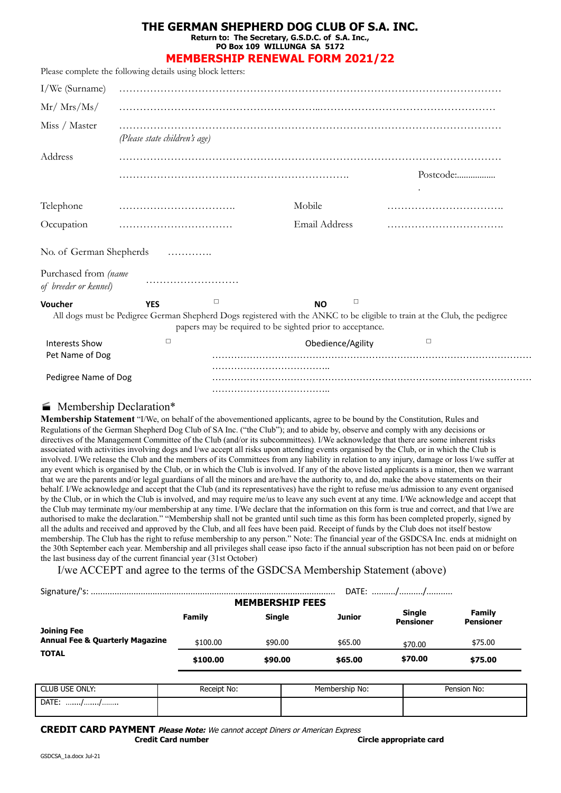## **THE GERMAN SHEPHERD DOG CLUB OF S.A. INC.**

**Return to: The Secretary, G.S.D.C. of S.A. Inc., PO Box 109 WILLUNGA SA 5172**

**MEMBERSHIP RENEWAL FORM 2021/22**

| Please complete the following details using block letters:                    |                               |        |                                                           |                                                                                                                           |  |  |
|-------------------------------------------------------------------------------|-------------------------------|--------|-----------------------------------------------------------|---------------------------------------------------------------------------------------------------------------------------|--|--|
| I/We (Surname)                                                                |                               |        |                                                           |                                                                                                                           |  |  |
| $Mr/$ Mrs/Ms/                                                                 |                               |        |                                                           |                                                                                                                           |  |  |
| Miss / Master                                                                 | (Please state children's age) |        |                                                           |                                                                                                                           |  |  |
| Address                                                                       |                               |        |                                                           |                                                                                                                           |  |  |
|                                                                               |                               |        |                                                           | Postcode:                                                                                                                 |  |  |
| Telephone                                                                     |                               |        | Mobile                                                    |                                                                                                                           |  |  |
| Occupation                                                                    |                               |        | Email Address                                             |                                                                                                                           |  |  |
| No. of German Shepherds                                                       |                               | .      |                                                           |                                                                                                                           |  |  |
| Purchased from (name<br>of breeder or kennel)                                 |                               |        |                                                           |                                                                                                                           |  |  |
| Voucher                                                                       | <b>YES</b>                    | $\Box$ | □<br><b>NO</b>                                            |                                                                                                                           |  |  |
|                                                                               |                               |        | papers may be required to be sighted prior to acceptance. | All dogs must be Pedigree German Shepherd Dogs registered with the ANKC to be eligible to train at the Club, the pedigree |  |  |
| <b>Interests Show</b>                                                         | $\Box$                        |        | Obedience/Agility                                         | $\Box$                                                                                                                    |  |  |
| Pet Name of Dog                                                               |                               |        |                                                           |                                                                                                                           |  |  |
| Pedigree Name of Dog                                                          |                               |        |                                                           |                                                                                                                           |  |  |
|                                                                               |                               |        |                                                           |                                                                                                                           |  |  |
| $\mathbf{M}$ $\mathbf{I}$ $\mathbf{I}$ $\mathbf{N}$ $\mathbf{I}$ $\mathbf{I}$ |                               |        |                                                           |                                                                                                                           |  |  |

## **Membership Declaration\***

**Membership Statement** "I/We, on behalf of the abovementioned applicants, agree to be bound by the Constitution, Rules and Regulations of the German Shepherd Dog Club of SA Inc. ("the Club"); and to abide by, observe and comply with any decisions or directives of the Management Committee of the Club (and/or its subcommittees). I/We acknowledge that there are some inherent risks associated with activities involving dogs and l/we accept all risks upon attending events organised by the Club, or in which the Club is involved. I/We release the Club and the members of its Committees from any liability in relation to any injury, damage or loss l/we suffer at any event which is organised by the Club, or in which the Club is involved. If any of the above listed applicants is a minor, then we warrant that we are the parents and/or legal guardians of all the minors and are/have the authority to, and do, make the above statements on their behalf. I/We acknowledge and accept that the Club (and its representatives) have the right to refuse me/us admission to any event organised by the Club, or in which the Club is involved, and may require me/us to leave any such event at any time. I/We acknowledge and accept that the Club may terminate my/our membership at any time. I/We declare that the information on this form is true and correct, and that l/we are authorised to make the declaration." "Membership shall not be granted until such time as this form has been completed properly, signed by all the adults and received and approved by the Club, and all fees have been paid. Receipt of funds by the Club does not itself bestow membership. The Club has the right to refuse membership to any person." Note: The financial year of the GSDCSA Inc. ends at midnight on the 30th September each year. Membership and all privileges shall cease ipso facto if the annual subscription has not been paid on or before the last business day of the current financial year (31st October)

I/we ACCEPT and agree to the terms of the GSDCSA Membership Statement (above)

|                                                                  |          |               |         | DATE: //                          |                            |
|------------------------------------------------------------------|----------|---------------|---------|-----------------------------------|----------------------------|
| <b>MEMBERSHIP FEES</b>                                           |          |               |         |                                   |                            |
|                                                                  | Family   | <b>Single</b> | Junior  | <b>Single</b><br><b>Pensioner</b> | Family<br><b>Pensioner</b> |
| <b>Joining Fee</b><br><b>Annual Fee &amp; Quarterly Magazine</b> | \$100.00 | \$90.00       | \$65.00 | \$70.00                           | \$75.00                    |
| <b>TOTAL</b>                                                     | \$100.00 | \$90.00       | \$65.00 | \$70.00                           | \$75.00                    |

| <b>CLUB USE ONLY:</b> | Receipt No: | Membership No: | Pension No: |
|-----------------------|-------------|----------------|-------------|
| DATE:<br>             |             |                |             |

**CREDIT CARD PAYMENT Please Note:** We cannot accept Diners or American Express